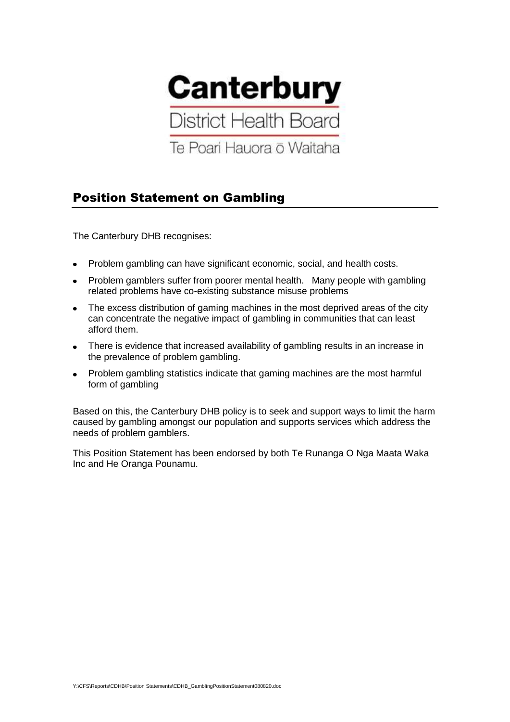

## Position Statement on Gambling

The Canterbury DHB recognises:

- Problem gambling can have significant economic, social, and health costs.
- Problem gamblers suffer from poorer mental health. Many people with gambling related problems have co-existing substance misuse problems
- The excess distribution of gaming machines in the most deprived areas of the city  $\bullet$ can concentrate the negative impact of gambling in communities that can least afford them.
- There is evidence that increased availability of gambling results in an increase in the prevalence of problem gambling.
- Problem gambling statistics indicate that gaming machines are the most harmful form of gambling

Based on this, the Canterbury DHB policy is to seek and support ways to limit the harm caused by gambling amongst our population and supports services which address the needs of problem gamblers.

This Position Statement has been endorsed by both Te Runanga O Nga Maata Waka Inc and He Oranga Pounamu.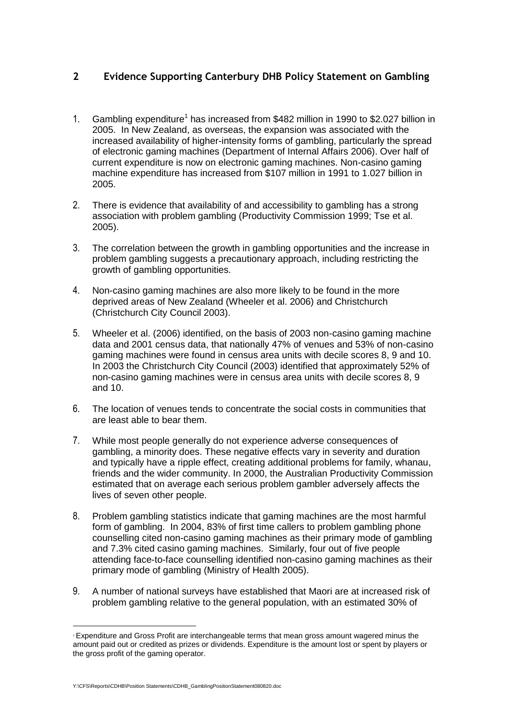## **2 Evidence Supporting Canterbury DHB Policy Statement on Gambling**

- 1. Gambling expenditure<sup>1</sup> has increased from \$482 million in 1990 to \$2.027 billion in 2005. In New Zealand, as overseas, the expansion was associated with the increased availability of higher-intensity forms of gambling, particularly the spread of electronic gaming machines (Department of Internal Affairs 2006). Over half of current expenditure is now on electronic gaming machines. Non-casino gaming machine expenditure has increased from \$107 million in 1991 to 1.027 billion in 2005.
- 2. There is evidence that availability of and accessibility to gambling has a strong association with problem gambling (Productivity Commission 1999; Tse et al. 2005).
- 3. The correlation between the growth in gambling opportunities and the increase in problem gambling suggests a precautionary approach, including restricting the growth of gambling opportunities.
- 4. Non-casino gaming machines are also more likely to be found in the more deprived areas of New Zealand (Wheeler et al. 2006) and Christchurch (Christchurch City Council 2003).
- 5. Wheeler et al. (2006) identified, on the basis of 2003 non-casino gaming machine data and 2001 census data, that nationally 47% of venues and 53% of non-casino gaming machines were found in census area units with decile scores 8, 9 and 10. In 2003 the Christchurch City Council (2003) identified that approximately 52% of non-casino gaming machines were in census area units with decile scores 8, 9 and 10.
- 6. The location of venues tends to concentrate the social costs in communities that are least able to bear them.
- 7. While most people generally do not experience adverse consequences of gambling, a minority does. These negative effects vary in severity and duration and typically have a ripple effect, creating additional problems for family, whanau, friends and the wider community. In 2000, the Australian Productivity Commission estimated that on average each serious problem gambler adversely affects the lives of seven other people.
- 8. Problem gambling statistics indicate that gaming machines are the most harmful form of gambling. In 2004, 83% of first time callers to problem gambling phone counselling cited non-casino gaming machines as their primary mode of gambling and 7.3% cited casino gaming machines. Similarly, four out of five people attending face-to-face counselling identified non-casino gaming machines as their primary mode of gambling (Ministry of Health 2005).
- 9. A number of national surveys have established that Maori are at increased risk of problem gambling relative to the general population, with an estimated 30% of

1

<sup>1</sup> Expenditure and Gross Profit are interchangeable terms that mean gross amount wagered minus the amount paid out or credited as prizes or dividends. Expenditure is the amount lost or spent by players or the gross profit of the gaming operator.

Y:\CFS\Reports\CDHB\Position Statements\CDHB\_GamblingPositionStatement080820.doc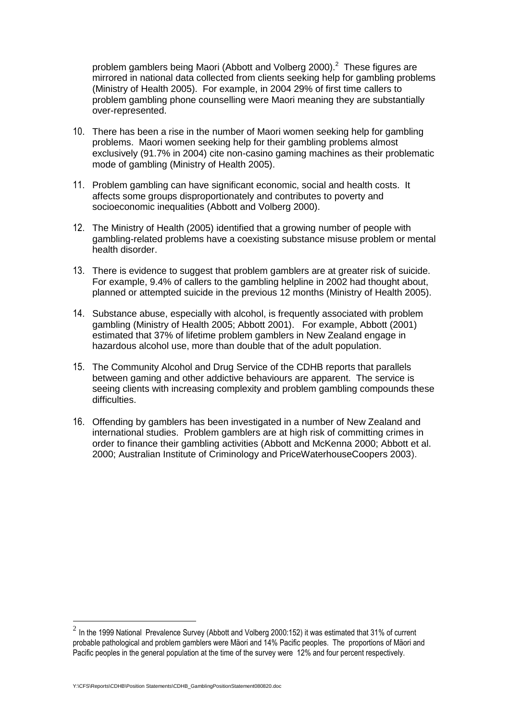problem gamblers being Maori (Abbott and Volberg 2000).<sup>2</sup> These figures are mirrored in national data collected from clients seeking help for gambling problems (Ministry of Health 2005). For example, in 2004 29% of first time callers to problem gambling phone counselling were Maori meaning they are substantially over-represented.

- 10. There has been a rise in the number of Maori women seeking help for gambling problems. Maori women seeking help for their gambling problems almost exclusively (91.7% in 2004) cite non-casino gaming machines as their problematic mode of gambling (Ministry of Health 2005).
- 11. Problem gambling can have significant economic, social and health costs. It affects some groups disproportionately and contributes to poverty and socioeconomic inequalities (Abbott and Volberg 2000).
- 12. The Ministry of Health (2005) identified that a growing number of people with gambling-related problems have a coexisting substance misuse problem or mental health disorder.
- 13. There is evidence to suggest that problem gamblers are at greater risk of suicide. For example, 9.4% of callers to the gambling helpline in 2002 had thought about, planned or attempted suicide in the previous 12 months (Ministry of Health 2005).
- 14. Substance abuse, especially with alcohol, is frequently associated with problem gambling (Ministry of Health 2005; Abbott 2001). For example, Abbott (2001) estimated that 37% of lifetime problem gamblers in New Zealand engage in hazardous alcohol use, more than double that of the adult population.
- 15. The Community Alcohol and Drug Service of the CDHB reports that parallels between gaming and other addictive behaviours are apparent. The service is seeing clients with increasing complexity and problem gambling compounds these difficulties.
- 16. Offending by gamblers has been investigated in a number of New Zealand and international studies. Problem gamblers are at high risk of committing crimes in order to finance their gambling activities (Abbott and McKenna 2000; Abbott et al. 2000; Australian Institute of Criminology and PriceWaterhouseCoopers 2003).

Y:\CFS\Reports\CDHB\Position Statements\CDHB\_GamblingPositionStatement080820.doc

1

 $^2$  In the 1999 National Prevalence Survey (Abbott and Volberg 2000:152) it was estimated that 31% of current probable pathological and problem gamblers were Mäori and 14% Pacific peoples. The proportions of Mäori and Pacific peoples in the general population at the time of the survey were 12% and four percent respectively.